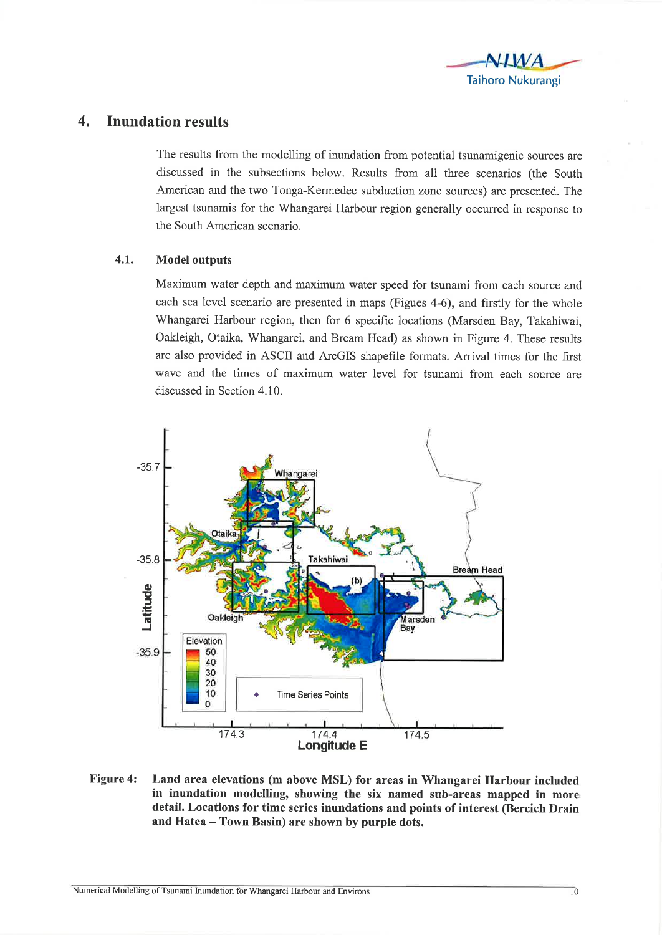

## 4. Inundation results

The results from the modelling of inundation from potential tsunamigenic sources are discussed in the subsections below. Results from all three scenarios (the South American and the two Tonga-Kermedec subduction zone sources) are presented. The largest tsunamis for the Whangarei Harbour region generally occurred in response to the South American scenario.

## 4.1. Model outputs

Maximum water depth and maximum water speed for tsunami from each source and each sea level scenario are presented in maps (Figues 4-6), and firstly for the whole Whangarei Harbour region, then for 6 specific locations (Marsden Bay, Takahiwai, Oakleigh, Otaika, Whangarei, and Bream Head) as shown in Figure 4. These results are also provided in ASCII and ArcGIS shapefile formats. Arrival times for the first wave and the times of maximum water level for tsunami from each source are discussed in Section 4.10.



Figure 4: Land area elevations (m above MSL) for areas in Whangarei Harbour included in inundation modelling, showing the six named sub-areas mapped in more detail. Locations for time series inundations and points of interest (Bercich Drain and Hatea - Town Basin) are shown by purple dots.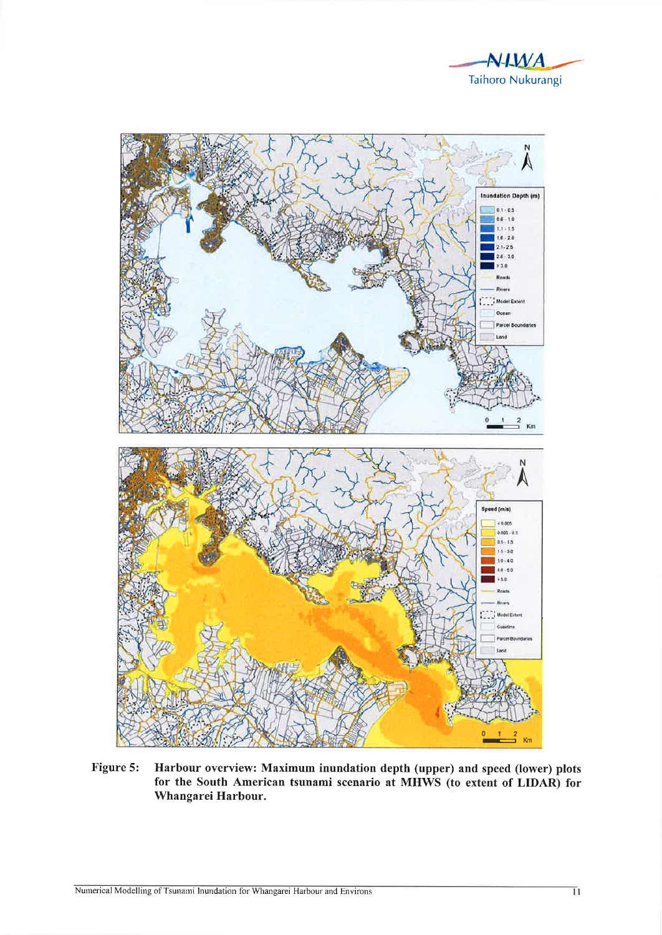



Figure 5: Harbour overview: Maximum inundation depth (upper) and speed (lower) plots for the South American tsunami scenario at MHWS (to extent of LIDAR) for Whangarei Harbour.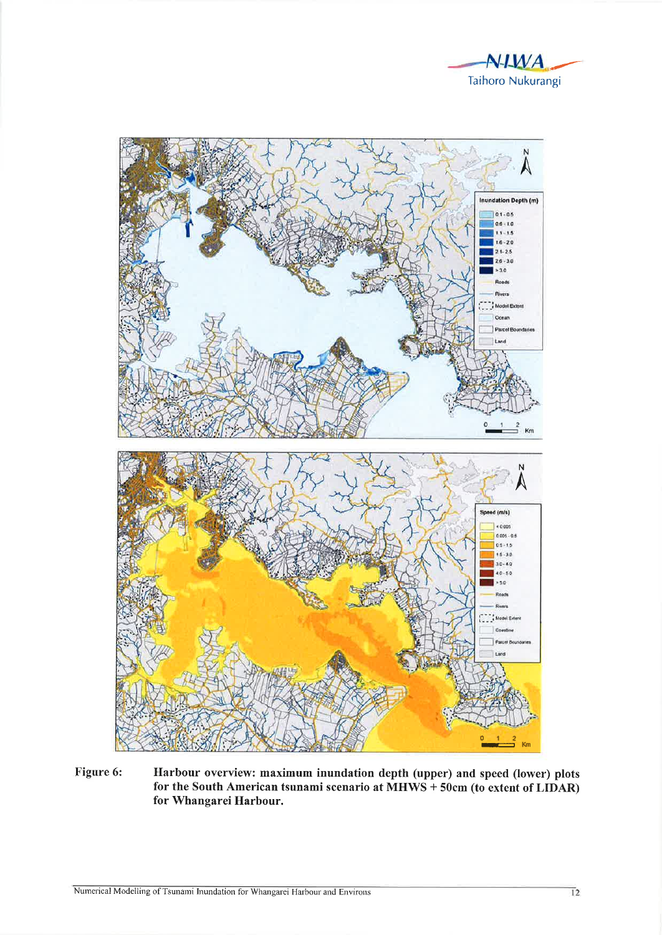



Harbour overview: maximum inundation depth (upper) and speed (lower) plots Figure 6: for the South American tsunami scenario at MHWS + 50cm (to extent of LIDAR) for Whangarei Harbour.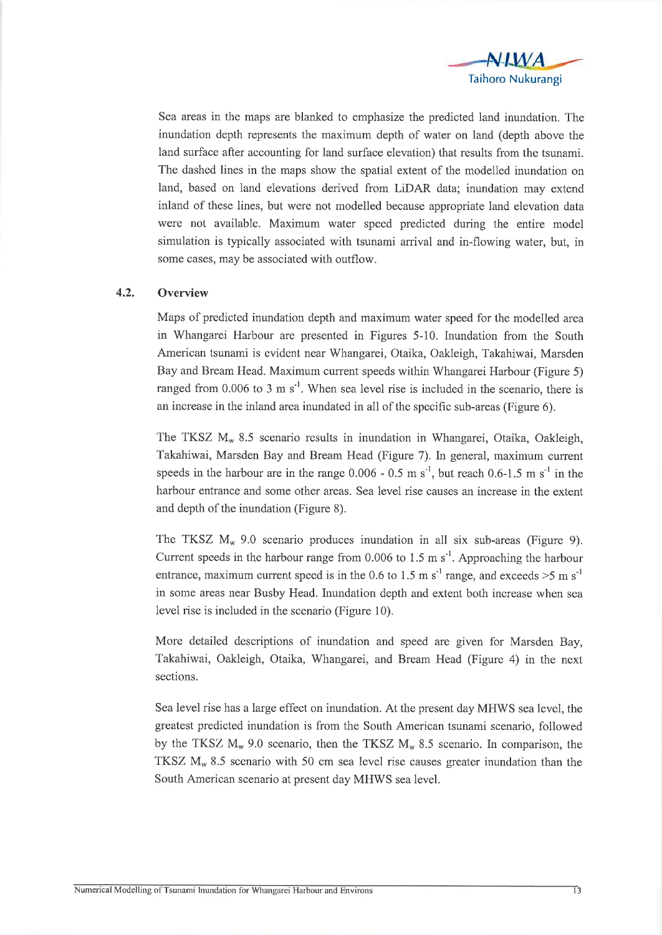

Sea areas in the maps are blanked to emphasize the predicted land inundation. The inundation depth represents the maximum depth of water on land (depth above the land surface after accounting for land surface elevation) that results from the tsunami. The dashed lines in the maps show the spatial extent of the modelled inundation on land, based on land elevations derived from LiDAR data; inundation may extend inland of these lines, but were not modelled because appropriate land elevation data were not available. Maximum water speed predicted during the entire model simulation is typically associated with tsunami arrival and in-flowing water, but, in some cases, may be associated with outflow.

## 4.2. Overview

Maps of predicted inundation depth and maximum water speed for the modelled area in Whangarei Harbour are presented in Figures 5-10. Inundation from the South American tsunami is evident near Whangarei, Otaika, Oakleigh, Takahiwai, Marsden Bay and Bream Head. Maximum current speeds within Whangarei Harbour (Figure 5) ranged from  $0.006$  to 3 m s<sup>-1</sup>. When sea level rise is included in the scenario, there is an increase in the inland area inundated in all of the specific sub-areas (Figure 6).

The TKSZ  $M_w$  8.5 scenario results in inundation in Whangarei, Otaika, Oakleigh, Takahiwai, Marsden Bay and Bream Head (Figure 7). In general, maximum current speeds in the harbour are in the range  $0.006 - 0.5$  m s<sup>-1</sup>, but reach 0.6-1.5 m s<sup>-1</sup> in the harbour entrance and some other areas. Sea level rise causes an increase in the extent and depth of the inundation (Figure 8).

The TKSZ  $M_w$  9.0 scenario produces inundation in all six sub-areas (Figure 9). Current speeds in the harbour range from  $0.006$  to 1.5 m s<sup>-1</sup>. Approaching the harbour entrance, maximum current speed is in the 0.6 to 1.5 m s<sup>-1</sup> range, and exceeds  $>5$  m s<sup>-1</sup> in some areas near Busby Head. Inundation depth and extent both increase when sea level rise is included in the scenario (Figure 10).

More detailed descriptions of inundation and speed are given for Marsden Bay, Takahiwai, Oakleigh, Otaika, Whangarei, and Bream Head (Figure 4) in the next sections.

Sea level rise has a large effect on inundation. At the present day MIIWS sea level, the greatest predicted inundation is from the South American tsunami scenario, followed by the TKSZ  $M_w$  9.0 scenario, then the TKSZ  $M_w$  8.5 scenario. In comparison, the TKSZ  $M_w$  8.5 scenario with 50 cm sea level rise causes greater inundation than the South American scenario at present day MIIWS sea level.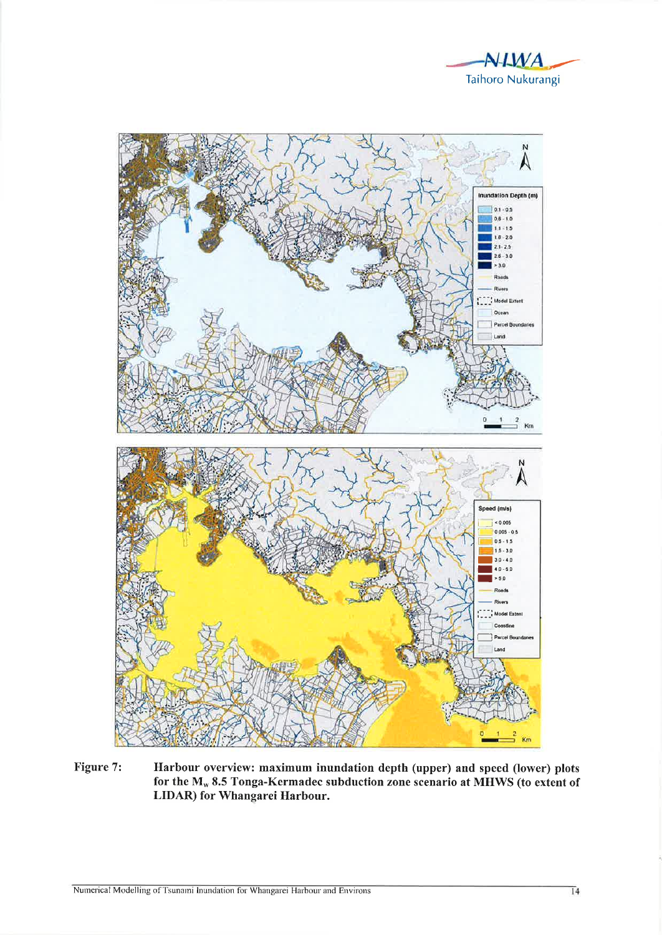



Figure 7: Harbour overview: maximum inundation depth (upper) and speed (lower) plots for the M<sub>w</sub> 8.5 Tonga-Kermadec subduction zone scenario at MHWS (to extent of LIDAR) for Whangarei Harbour.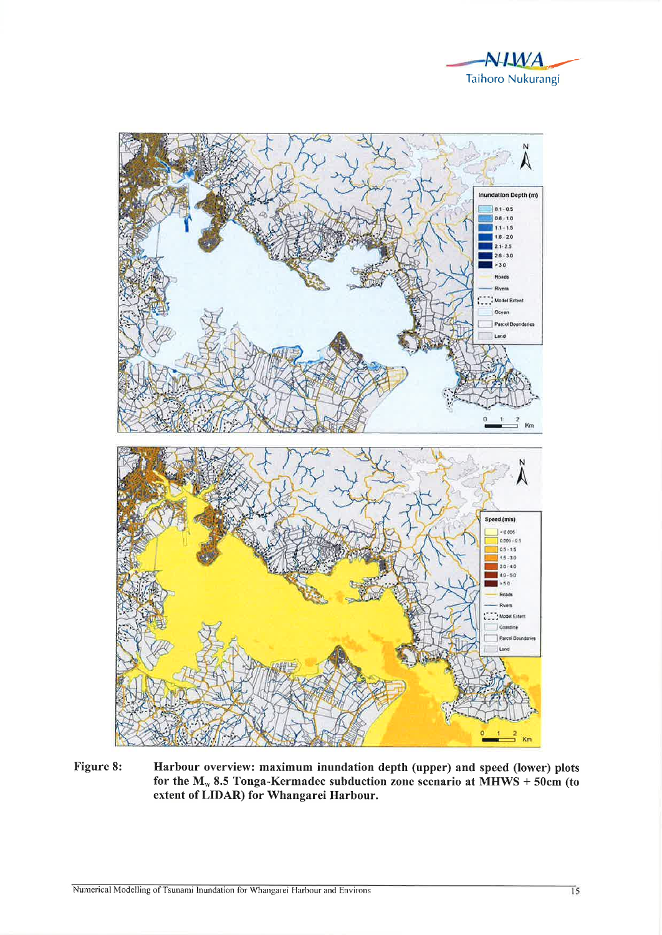



Figure 8: Harbour overview: maximum inundation depth (upper) and speed (lower) plots for the  $M_w$  8.5 Tonga-Kermadec subduction zone scenario at MHWS + 50cm (to extent of LIDAR) for Whangarei Harbour.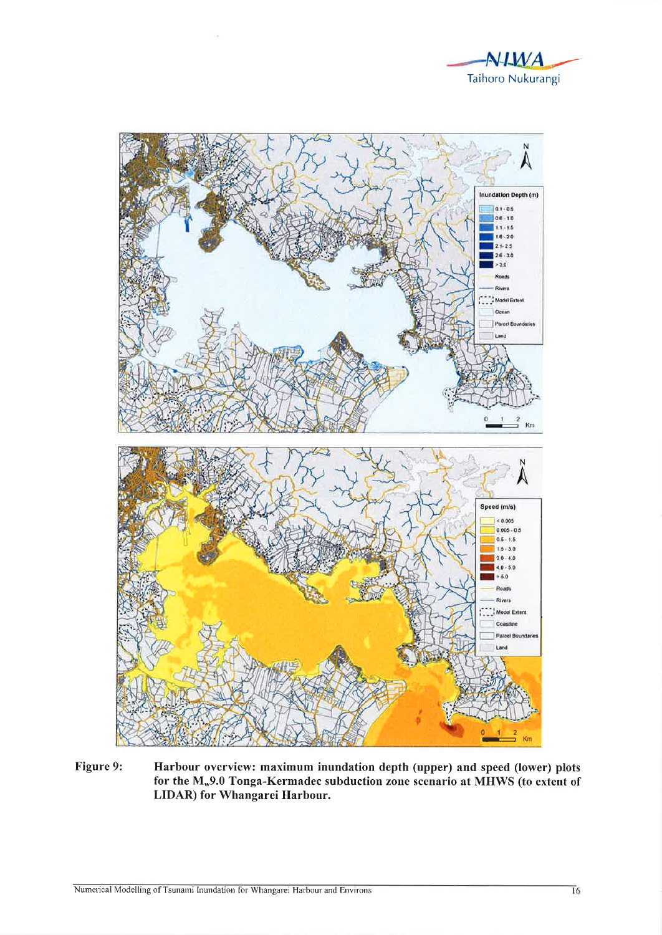



Figure 9: Harbour overview: maximum inundation depth (upper) and speed (lower) plots for the M<sub>w</sub>9.0 Tonga-Kermadec subduction zone scenario at MHWS (to extent of LIDAR) for Whangarei Harbour.